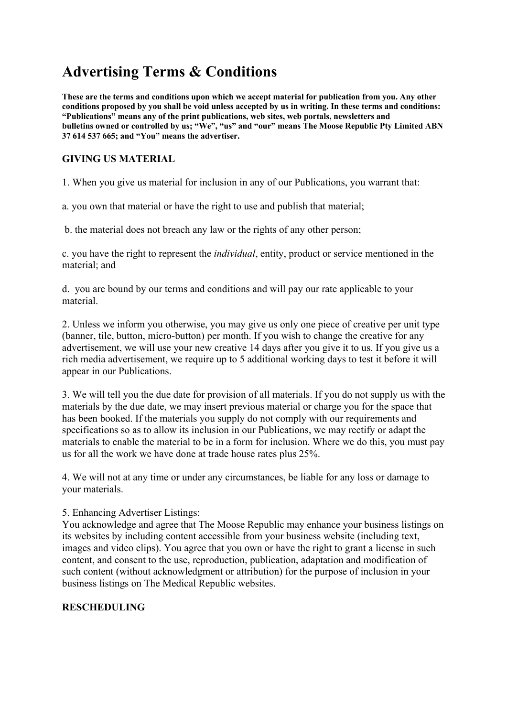# **Advertising Terms & Conditions**

**These are the terms and conditions upon which we accept material for publication from you. Any other conditions proposed by you shall be void unless accepted by us in writing. In these terms and conditions: "Publications" means any of the print publications, web sites, web portals, newsletters and bulletins owned or controlled by us; "We", "us" and "our" means The Moose Republic Pty Limited ABN 37 614 537 665; and "You" means the advertiser.**

# **GIVING US MATERIAL**

1. When you give us material for inclusion in any of our Publications, you warrant that:

a. you own that material or have the right to use and publish that material;

b. the material does not breach any law or the rights of any other person;

c. you have the right to represent the *individual*, entity, product or service mentioned in the material; and

d. you are bound by our terms and conditions and will pay our rate applicable to your material.

2. Unless we inform you otherwise, you may give us only one piece of creative per unit type (banner, tile, button, micro-button) per month. If you wish to change the creative for any advertisement, we will use your new creative 14 days after you give it to us. If you give us a rich media advertisement, we require up to 5 additional working days to test it before it will appear in our Publications.

3. We will tell you the due date for provision of all materials. If you do not supply us with the materials by the due date, we may insert previous material or charge you for the space that has been booked. If the materials you supply do not comply with our requirements and specifications so as to allow its inclusion in our Publications, we may rectify or adapt the materials to enable the material to be in a form for inclusion. Where we do this, you must pay us for all the work we have done at trade house rates plus 25%.

4. We will not at any time or under any circumstances, be liable for any loss or damage to your materials.

5. Enhancing Advertiser Listings:

You acknowledge and agree that The Moose Republic may enhance your business listings on its websites by including content accessible from your business website (including text, images and video clips). You agree that you own or have the right to grant a license in such content, and consent to the use, reproduction, publication, adaptation and modification of such content (without acknowledgment or attribution) for the purpose of inclusion in your business listings on The Medical Republic websites.

# **RESCHEDULING**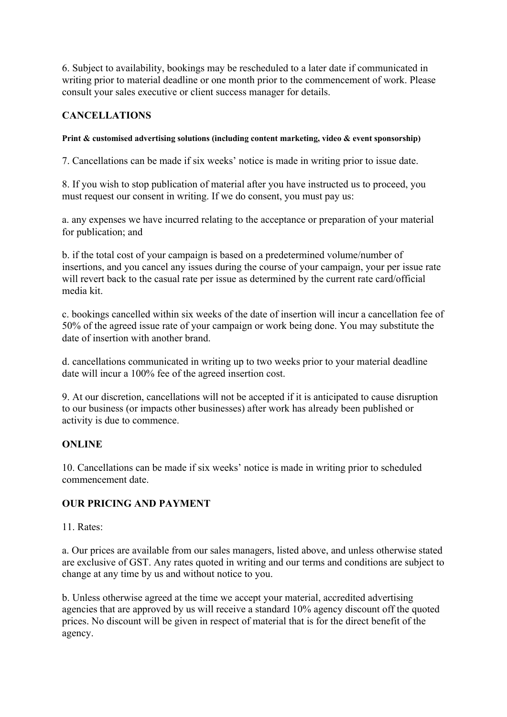6. Subject to availability, bookings may be rescheduled to a later date if communicated in writing prior to material deadline or one month prior to the commencement of work. Please consult your sales executive or client success manager for details.

## **CANCELLATIONS**

#### **Print & customised advertising solutions (including content marketing, video & event sponsorship)**

7. Cancellations can be made if six weeks' notice is made in writing prior to issue date.

8. If you wish to stop publication of material after you have instructed us to proceed, you must request our consent in writing. If we do consent, you must pay us:

a. any expenses we have incurred relating to the acceptance or preparation of your material for publication; and

b. if the total cost of your campaign is based on a predetermined volume/number of insertions, and you cancel any issues during the course of your campaign, your per issue rate will revert back to the casual rate per issue as determined by the current rate card/official media kit.

c. bookings cancelled within six weeks of the date of insertion will incur a cancellation fee of 50% of the agreed issue rate of your campaign or work being done. You may substitute the date of insertion with another brand.

d. cancellations communicated in writing up to two weeks prior to your material deadline date will incur a 100% fee of the agreed insertion cost.

9. At our discretion, cancellations will not be accepted if it is anticipated to cause disruption to our business (or impacts other businesses) after work has already been published or activity is due to commence.

## **ONLINE**

10. Cancellations can be made if six weeks' notice is made in writing prior to scheduled commencement date.

## **OUR PRICING AND PAYMENT**

11. Rates:

a. Our prices are available from our sales managers, listed above, and unless otherwise stated are exclusive of GST. Any rates quoted in writing and our terms and conditions are subject to change at any time by us and without notice to you.

b. Unless otherwise agreed at the time we accept your material, accredited advertising agencies that are approved by us will receive a standard 10% agency discount off the quoted prices. No discount will be given in respect of material that is for the direct benefit of the agency.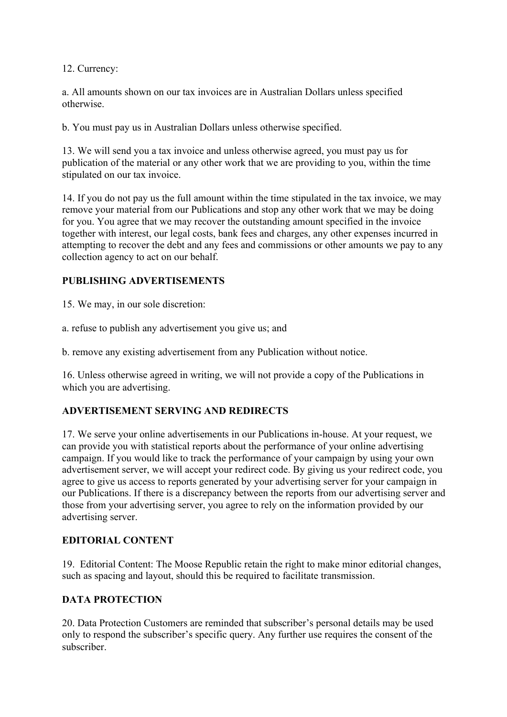12. Currency:

a. All amounts shown on our tax invoices are in Australian Dollars unless specified otherwise.

b. You must pay us in Australian Dollars unless otherwise specified.

13. We will send you a tax invoice and unless otherwise agreed, you must pay us for publication of the material or any other work that we are providing to you, within the time stipulated on our tax invoice.

14. If you do not pay us the full amount within the time stipulated in the tax invoice, we may remove your material from our Publications and stop any other work that we may be doing for you. You agree that we may recover the outstanding amount specified in the invoice together with interest, our legal costs, bank fees and charges, any other expenses incurred in attempting to recover the debt and any fees and commissions or other amounts we pay to any collection agency to act on our behalf.

## **PUBLISHING ADVERTISEMENTS**

15. We may, in our sole discretion:

a. refuse to publish any advertisement you give us; and

b. remove any existing advertisement from any Publication without notice.

16. Unless otherwise agreed in writing, we will not provide a copy of the Publications in which you are advertising.

# **ADVERTISEMENT SERVING AND REDIRECTS**

17. We serve your online advertisements in our Publications in-house. At your request, we can provide you with statistical reports about the performance of your online advertising campaign. If you would like to track the performance of your campaign by using your own advertisement server, we will accept your redirect code. By giving us your redirect code, you agree to give us access to reports generated by your advertising server for your campaign in our Publications. If there is a discrepancy between the reports from our advertising server and those from your advertising server, you agree to rely on the information provided by our advertising server.

## **EDITORIAL CONTENT**

19. Editorial Content: The Moose Republic retain the right to make minor editorial changes, such as spacing and layout, should this be required to facilitate transmission.

## **DATA PROTECTION**

20. Data Protection Customers are reminded that subscriber's personal details may be used only to respond the subscriber's specific query. Any further use requires the consent of the subscriber.